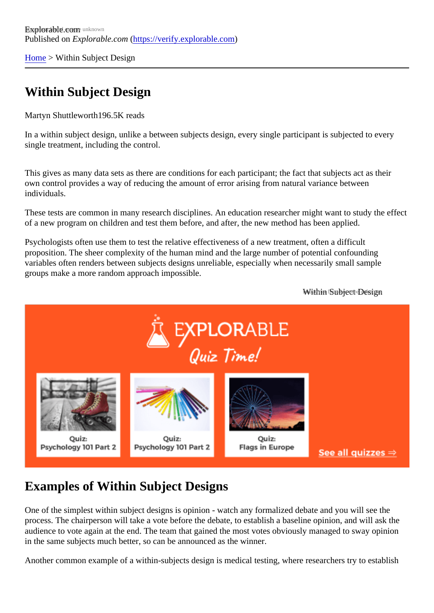[Home](https://verify.explorable.com/) > Within Subject Design

## Within Subject Design

Martyn Shuttleworth96.5K reads

In a within subject design, unlike a between subjects design, every single participant is subjected to every single treatment, including the control.

This gives as many data sets as there are conditions for each participant; the fact that subjects act as their own control provides a way of reducing the amount of error arising from natural variance between individuals.

These tests are common in many research disciplines. An education researcher might want to study the e of a new program on children and test them before, and after, the new method has been applied.

Psychologists often use them to test the relative effectiveness of a new treatment, often a difficult proposition. The sheer complexity of the human mind and the large number of potential confounding variables often renders between subjects designs unreliable, especially when necessarily small sample groups make a more random approach impossible.

Within Subject Design

## Examples of Within Subject Designs

One of the simplest within subject designs is opinion - watch any formalized debate and you will see the process. The chairperson will take a vote before the debate, to establish a baseline opinion, and will ask th audience to vote again at the end. The team that gained the most votes obviously managed to sway opinion in the same subjects much better, so can be announced as the winner.

Another common example of a within-subjects design is medical testing, where researchers try to establis